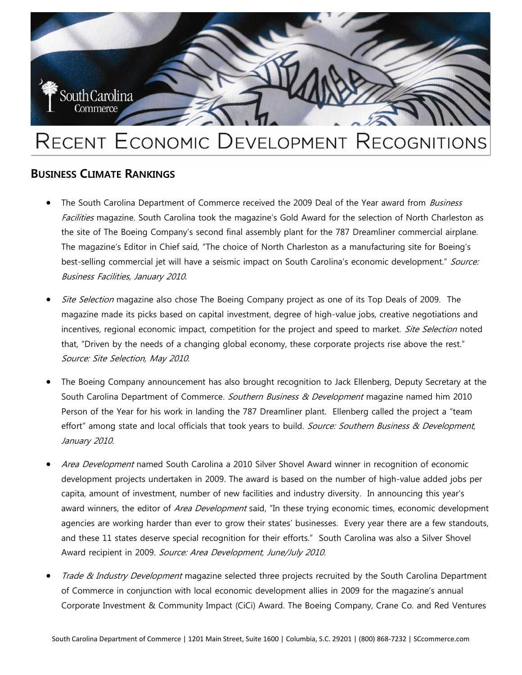

# RECENT ECONOMIC DEVELOPMENT RECOGNITIONS

# **BUSINESS CLIMATE RANKINGS**

- The South Carolina Department of Commerce received the 2009 Deal of the Year award from *Business* Facilities magazine. South Carolina took the magazine's Gold Award for the selection of North Charleston as the site of The Boeing Company's second final assembly plant for the 787 Dreamliner commercial airplane. The magazine's Editor in Chief said, "The choice of North Charleston as a manufacturing site for Boeing's best-selling commercial jet will have a seismic impact on South Carolina's economic development." Source: Business Facilities, January 2010.
- Site Selection magazine also chose The Boeing Company project as one of its Top Deals of 2009. The magazine made its picks based on capital investment, degree of high-value jobs, creative negotiations and incentives, regional economic impact, competition for the project and speed to market. Site Selection noted that, "Driven by the needs of a changing global economy, these corporate projects rise above the rest." Source: Site Selection, May 2010.
- The Boeing Company announcement has also brought recognition to Jack Ellenberg, Deputy Secretary at the South Carolina Department of Commerce. Southern Business & Development magazine named him 2010 Person of the Year for his work in landing the 787 Dreamliner plant. Ellenberg called the project a "team effort" among state and local officials that took years to build. Source: Southern Business & Development, January 2010.
- Area Development named South Carolina a 2010 Silver Shovel Award winner in recognition of economic development projects undertaken in 2009. The award is based on the number of high-value added jobs per capita, amount of investment, number of new facilities and industry diversity. In announcing this year's award winners, the editor of Area Development said, "In these trying economic times, economic development agencies are working harder than ever to grow their states' businesses. Every year there are a few standouts, and these 11 states deserve special recognition for their efforts." South Carolina was also a Silver Shovel Award recipient in 2009. Source: Area Development, June/July 2010.
- Trade & Industry Development magazine selected three projects recruited by the South Carolina Department of Commerce in conjunction with local economic development allies in 2009 for the magazine's annual Corporate Investment & Community Impact (CiCi) Award. The Boeing Company, Crane Co. and Red Ventures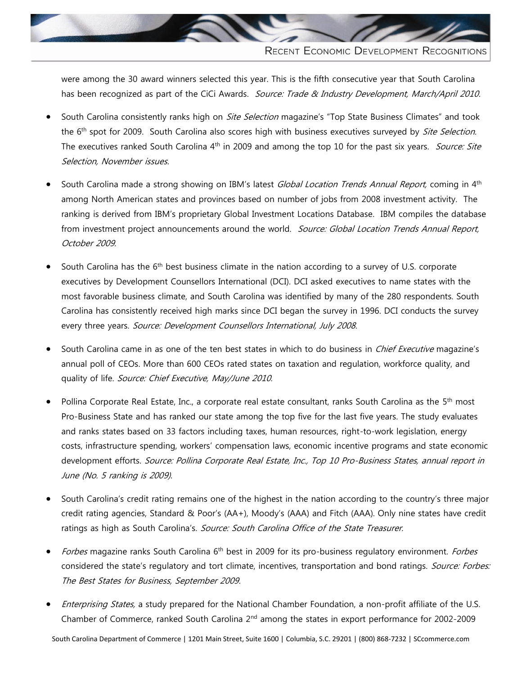

were among the 30 award winners selected this year. This is the fifth consecutive year that South Carolina has been recognized as part of the CiCi Awards. Source: Trade & Industry Development, March/April 2010.

- South Carolina consistently ranks high on *Site Selection* magazine's "Top State Business Climates" and took the 6<sup>th</sup> spot for 2009. South Carolina also scores high with business executives surveyed by *Site Selection*. The executives ranked South Carolina 4<sup>th</sup> in 2009 and among the top 10 for the past six years. *Source: Site* Selection, November issues.
- South Carolina made a strong showing on IBM's latest *Global Location Trends Annual Report,* coming in 4<sup>th</sup> among North American states and provinces based on number of jobs from 2008 investment activity. The ranking is derived from IBM's proprietary Global Investment Locations Database. IBM compiles the database from investment project announcements around the world. Source: Global Location Trends Annual Report, October 2009.
- South Carolina has the  $6<sup>th</sup>$  best business climate in the nation according to a survey of U.S. corporate executives by Development Counsellors International (DCI). DCI asked executives to name states with the most favorable business climate, and South Carolina was identified by many of the 280 respondents. South Carolina has consistently received high marks since DCI began the survey in 1996. DCI conducts the survey every three years. Source: Development Counsellors International, July 2008.
- South Carolina came in as one of the ten best states in which to do business in *Chief Executive* magazine's annual poll of CEOs. More than 600 CEOs rated states on taxation and regulation, workforce quality, and quality of life. Source: Chief Executive, May/June 2010.
- Pollina Corporate Real Estate, Inc., a corporate real estate consultant, ranks South Carolina as the 5<sup>th</sup> most Pro-Business State and has ranked our state among the top five for the last five years. The study evaluates and ranks states based on 33 factors including taxes, human resources, right-to-work legislation, energy costs, infrastructure spending, workers' compensation laws, economic incentive programs and state economic development efforts. Source: Pollina Corporate Real Estate, Inc., Top 10 Pro-Business States, annual report in June (No. 5 ranking is 2009).
- South Carolina's credit rating remains one of the highest in the nation according to the country's three major credit rating agencies, Standard & Poor's (AA+), Moody's (AAA) and Fitch (AAA). Only nine states have credit ratings as high as South Carolina's. Source: South Carolina Office of the State Treasurer.
- Forbes magazine ranks South Carolina 6<sup>th</sup> best in 2009 for its pro-business regulatory environment. Forbes considered the state's regulatory and tort climate, incentives, transportation and bond ratings. Source: Forbes: The Best States for Business, September 2009.
- Enterprising States, a study prepared for the National Chamber Foundation, a non-profit affiliate of the U.S. Chamber of Commerce, ranked South Carolina 2nd among the states in export performance for 2002-2009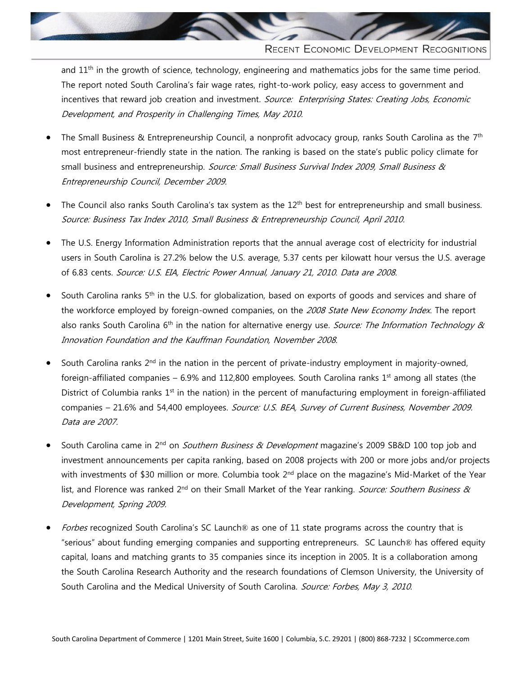

RECENT ECONOMIC DEVELOPMENT RECOGNITIONS

and 11<sup>th</sup> in the growth of science, technology, engineering and mathematics jobs for the same time period. The report noted South Carolina's fair wage rates, right-to-work policy, easy access to government and incentives that reward job creation and investment. Source: Enterprising States: Creating Jobs, Economic Development, and Prosperity in Challenging Times, May 2010.

- The Small Business & Entrepreneurship Council, a nonprofit advocacy group, ranks South Carolina as the 7<sup>th</sup> most entrepreneur-friendly state in the nation. The ranking is based on the state's public policy climate for small business and entrepreneurship. Source: Small Business Survival Index 2009, Small Business & Entrepreneurship Council, December 2009.
- The Council also ranks South Carolina's tax system as the 12<sup>th</sup> best for entrepreneurship and small business. Source: Business Tax Index 2010, Small Business & Entrepreneurship Council, April 2010.
- The U.S. Energy Information Administration reports that the annual average cost of electricity for industrial users in South Carolina is 27.2% below the U.S. average, 5.37 cents per kilowatt hour versus the U.S. average of 6.83 cents. Source: U.S. EIA, Electric Power Annual, January 21, 2010. Data are 2008.
- South Carolina ranks 5<sup>th</sup> in the U.S. for globalization, based on exports of goods and services and share of the workforce employed by foreign-owned companies, on the 2008 State New Economy Index. The report also ranks South Carolina 6<sup>th</sup> in the nation for alternative energy use. Source: The Information Technology & Innovation Foundation and the Kauffman Foundation, November 2008.
- South Carolina ranks 2<sup>nd</sup> in the nation in the percent of private-industry employment in majority-owned, foreign-affiliated companies – 6.9% and 112,800 employees. South Carolina ranks  $1<sup>st</sup>$  among all states (the District of Columbia ranks  $1<sup>st</sup>$  in the nation) in the percent of manufacturing employment in foreign-affiliated companies - 21.6% and 54,400 employees. Source: U.S. BEA, Survey of Current Business, November 2009. Data are 2007.
- South Carolina came in 2<sup>nd</sup> on *Southern Business & Development* magazine's 2009 SB&D 100 top job and investment announcements per capita ranking, based on 2008 projects with 200 or more jobs and/or projects with investments of \$30 million or more. Columbia took  $2^{nd}$  place on the magazine's Mid-Market of the Year list, and Florence was ranked 2<sup>nd</sup> on their Small Market of the Year ranking. Source: Southern Business & Development, Spring 2009.
- Forbes recognized South Carolina's SC Launch® as one of 11 state programs across the country that is "serious" about funding emerging companies and supporting entrepreneurs. SC Launch® has offered equity capital, loans and matching grants to 35 companies since its inception in 2005. It is a collaboration among the South Carolina Research Authority and the research foundations of Clemson University, the University of South Carolina and the Medical University of South Carolina. Source: Forbes, May 3, 2010.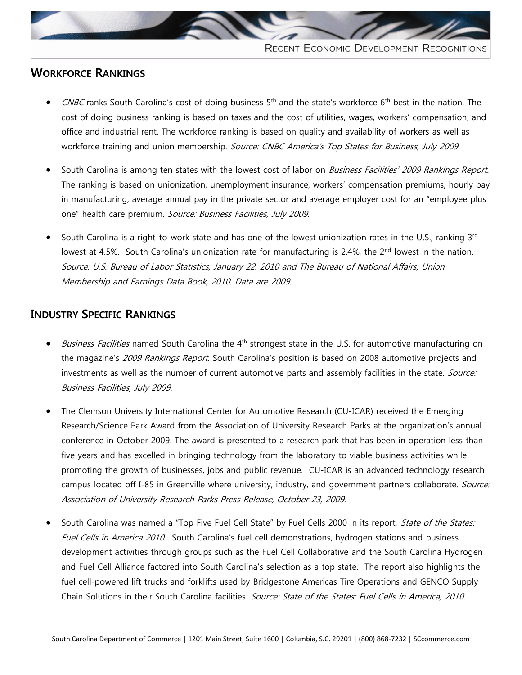

## **WORKFORCE RANKINGS**

- CNBC ranks South Carolina's cost of doing business 5<sup>th</sup> and the state's workforce 6<sup>th</sup> best in the nation. The cost of doing business ranking is based on taxes and the cost of utilities, wages, workers' compensation, and office and industrial rent. The workforce ranking is based on quality and availability of workers as well as workforce training and union membership. Source: CNBC America's Top States for Business, July 2009.
- South Carolina is among ten states with the lowest cost of labor on Business Facilities' 2009 Rankings Report. The ranking is based on unionization, unemployment insurance, workers' compensation premiums, hourly pay in manufacturing, average annual pay in the private sector and average employer cost for an "employee plus one" health care premium. Source: Business Facilities, July 2009.
- South Carolina is a right-to-work state and has one of the lowest unionization rates in the U.S., ranking 3rd lowest at 4.5%. South Carolina's unionization rate for manufacturing is 2.4%, the 2<sup>nd</sup> lowest in the nation. Source: U.S. Bureau of Labor Statistics, January 22, 2010 and The Bureau of National Affairs, Union Membership and Earnings Data Book, 2010. Data are 2009.

#### **INDUSTRY SPECIFIC RANKINGS**

- Business Facilities named South Carolina the 4<sup>th</sup> strongest state in the U.S. for automotive manufacturing on the magazine's 2009 Rankings Report. South Carolina's position is based on 2008 automotive projects and investments as well as the number of current automotive parts and assembly facilities in the state. Source: Business Facilities, July 2009.
- The Clemson University International Center for Automotive Research (CU-ICAR) received the Emerging Research/Science Park Award from the Association of University Research Parks at the organization's annual conference in October 2009. The award is presented to a research park that has been in operation less than five years and has excelled in bringing technology from the laboratory to viable business activities while promoting the growth of businesses, jobs and public revenue. CU-ICAR is an advanced technology research campus located off I-85 in Greenville where university, industry, and government partners collaborate. Source: Association of University Research Parks Press Release, October 23, 2009.
- South Carolina was named a "Top Five Fuel Cell State" by Fuel Cells 2000 in its report, State of the States: Fuel Cells in America 2010. South Carolina's fuel cell demonstrations, hydrogen stations and business development activities through groups such as the Fuel Cell Collaborative and the South Carolina Hydrogen and Fuel Cell Alliance factored into South Carolina's selection as a top state. The report also highlights the fuel cell-powered lift trucks and forklifts used by Bridgestone Americas Tire Operations and GENCO Supply Chain Solutions in their South Carolina facilities. Source: State of the States: Fuel Cells in America, 2010.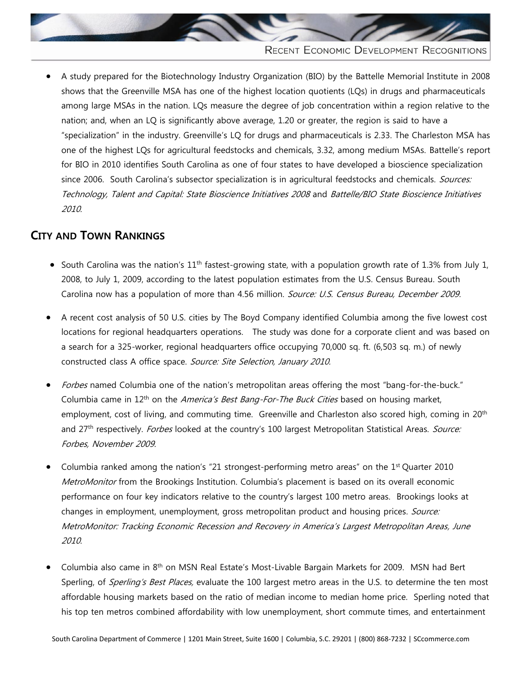

 A study prepared for the Biotechnology Industry Organization (BIO) by the Battelle Memorial Institute in 2008 shows that the Greenville MSA has one of the highest location quotients (LQs) in drugs and pharmaceuticals among large MSAs in the nation. LQs measure the degree of job concentration within a region relative to the nation; and, when an LQ is significantly above average, 1.20 or greater, the region is said to have a "specialization" in the industry. Greenville's LQ for drugs and pharmaceuticals is 2.33. The Charleston MSA has one of the highest LQs for agricultural feedstocks and chemicals, 3.32, among medium MSAs. Battelle's report for BIO in 2010 identifies South Carolina as one of four states to have developed a bioscience specialization since 2006. South Carolina's subsector specialization is in agricultural feedstocks and chemicals. Sources: Technology, Talent and Capital: State Bioscience Initiatives 2008 and Battelle/BIO State Bioscience Initiatives 2010.

# **CITY AND TOWN RANKINGS**

- South Carolina was the nation's  $11<sup>th</sup>$  fastest-growing state, with a population growth rate of 1.3% from July 1, 2008, to July 1, 2009, according to the latest population estimates from the U.S. Census Bureau. South Carolina now has a population of more than 4.56 million. Source: U.S. Census Bureau, December 2009.
- A recent cost analysis of 50 U.S. cities by The Boyd Company identified Columbia among the five lowest cost locations for regional headquarters operations. The study was done for a corporate client and was based on a search for a 325-worker, regional headquarters office occupying 70,000 sq. ft. (6,503 sq. m.) of newly constructed class A office space. Source: Site Selection, January 2010.
- Forbes named Columbia one of the nation's metropolitan areas offering the most "bang-for-the-buck." Columbia came in 12<sup>th</sup> on the *America's Best Bang-For-The Buck Cities* based on housing market, employment, cost of living, and commuting time. Greenville and Charleston also scored high, coming in 20<sup>th</sup> and 27<sup>th</sup> respectively. Forbes looked at the country's 100 largest Metropolitan Statistical Areas. Source: Forbes, November 2009.
- Columbia ranked among the nation's "21 strongest-performing metro areas" on the 1st Quarter 2010 MetroMonitor from the Brookings Institution. Columbia's placement is based on its overall economic performance on four key indicators relative to the country's largest 100 metro areas. Brookings looks at changes in employment, unemployment, gross metropolitan product and housing prices. Source: MetroMonitor: Tracking Economic Recession and Recovery in America's Largest Metropolitan Areas, June 2010.
- Columbia also came in 8<sup>th</sup> on MSN Real Estate's Most-Livable Bargain Markets for 2009. MSN had Bert Sperling, of *Sperling's Best Places*, evaluate the 100 largest metro areas in the U.S. to determine the ten most affordable housing markets based on the ratio of median income to median home price. Sperling noted that his top ten metros combined affordability with low unemployment, short commute times, and entertainment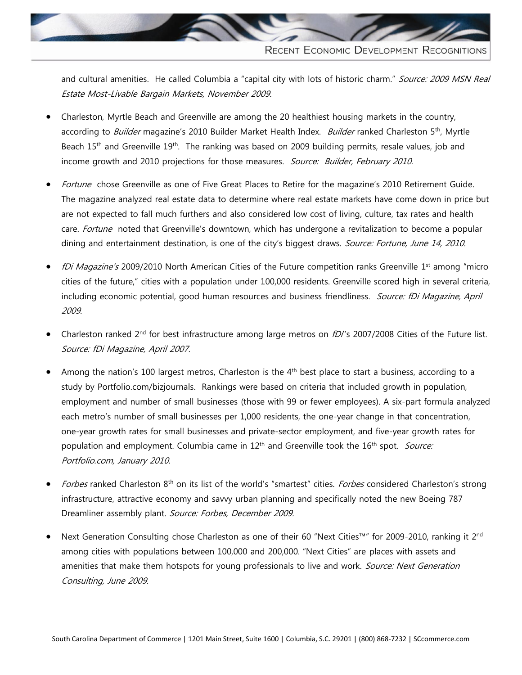

and cultural amenities. He called Columbia a "capital city with lots of historic charm." Source: 2009 MSN Real Estate Most-Livable Bargain Markets, November 2009.

- Charleston, Myrtle Beach and Greenville are among the 20 healthiest housing markets in the country, according to Builder magazine's 2010 Builder Market Health Index. Builder ranked Charleston 5<sup>th</sup>, Myrtle Beach 15<sup>th</sup> and Greenville 19<sup>th</sup>. The ranking was based on 2009 building permits, resale values, job and income growth and 2010 projections for those measures. Source: Builder, February 2010.
- Fortune chose Greenville as one of Five Great Places to Retire for the magazine's 2010 Retirement Guide. The magazine analyzed real estate data to determine where real estate markets have come down in price but are not expected to fall much furthers and also considered low cost of living, culture, tax rates and health care. Fortune noted that Greenville's downtown, which has undergone a revitalization to become a popular dining and entertainment destination, is one of the city's biggest draws. Source: Fortune, June 14, 2010.
- fDi Magazine's 2009/2010 North American Cities of the Future competition ranks Greenville 1<sup>st</sup> among "micro cities of the future," cities with a population under 100,000 residents. Greenville scored high in several criteria, including economic potential, good human resources and business friendliness. Source: fDi Magazine, April 2009.
- Charleston ranked 2<sup>nd</sup> for best infrastructure among large metros on fDI's 2007/2008 Cities of the Future list. Source: fDi Magazine, April 2007.
- Among the nation's 100 largest metros, Charleston is the 4<sup>th</sup> best place to start a business, according to a study by Portfolio.com/bizjournals. Rankings were based on criteria that included growth in population, employment and number of small businesses (those with 99 or fewer employees). A six-part formula analyzed each metro's number of small businesses per 1,000 residents, the one-year change in that concentration, one-year growth rates for small businesses and private-sector employment, and five-year growth rates for population and employment. Columbia came in 12<sup>th</sup> and Greenville took the 16<sup>th</sup> spot. Source: Portfolio.com, January 2010.
- Forbes ranked Charleston 8<sup>th</sup> on its list of the world's "smartest" cities. Forbes considered Charleston's strong infrastructure, attractive economy and savvy urban planning and specifically noted the new Boeing 787 Dreamliner assembly plant. Source: Forbes, December 2009.
- Next Generation Consulting chose Charleston as one of their 60 "Next Cities™" for 2009-2010, ranking it 2<sup>nd</sup> among cities with populations between 100,000 and 200,000. "Next Cities" are places with assets and amenities that make them hotspots for young professionals to live and work. Source: Next Generation Consulting, June 2009.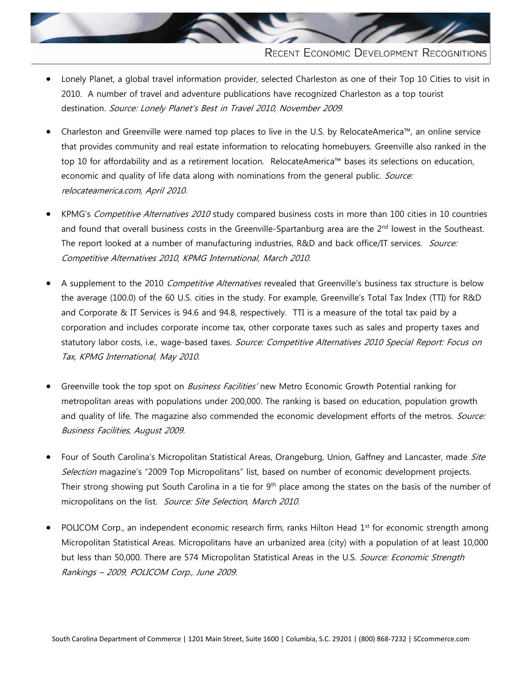

- Lonely Planet, a global travel information provider, selected Charleston as one of their Top 10 Cities to visit in 2010. A number of travel and adventure publications have recognized Charleston as a top tourist destination. Source: Lonely Planet's Best in Travel 2010, November 2009.
- Charleston and Greenville were named top places to live in the U.S. by RelocateAmerica™, an online service that provides community and real estate information to relocating homebuyers. Greenville also ranked in the top 10 for affordability and as a retirement location. RelocateAmerica™ bases its selections on education, economic and quality of life data along with nominations from the general public. Source: relocateamerica.com, April 2010.
- KPMG's Competitive Alternatives 2010 study compared business costs in more than 100 cities in 10 countries and found that overall business costs in the Greenville-Spartanburg area are the 2<sup>nd</sup> lowest in the Southeast. The report looked at a number of manufacturing industries, R&D and back office/IT services. Source: Competitive Alternatives 2010, KPMG International, March 2010.
- A supplement to the 2010 Competitive Alternatives revealed that Greenville's business tax structure is below the average (100.0) of the 60 U.S. cities in the study. For example, Greenville's Total Tax Index (TTI) for R&D and Corporate & IT Services is 94.6 and 94.8, respectively. TTI is a measure of the total tax paid by a corporation and includes corporate income tax, other corporate taxes such as sales and property taxes and statutory labor costs, i.e., wage-based taxes. Source: Competitive Alternatives 2010 Special Report: Focus on Tax, KPMG International, May 2010.
- Greenville took the top spot on *Business Facilities'* new Metro Economic Growth Potential ranking for metropolitan areas with populations under 200,000. The ranking is based on education, population growth and quality of life. The magazine also commended the economic development efforts of the metros. Source: Business Facilities, August 2009.
- Four of South Carolina's Micropolitan Statistical Areas, Orangeburg, Union, Gaffney and Lancaster, made Site Selection magazine's "2009 Top Micropolitans" list, based on number of economic development projects. Their strong showing put South Carolina in a tie for  $9<sup>th</sup>$  place among the states on the basis of the number of micropolitans on the list. Source: Site Selection, March 2010.
- POLICOM Corp., an independent economic research firm, ranks Hilton Head 1<sup>st</sup> for economic strength among Micropolitan Statistical Areas. Micropolitans have an urbanized area (city) with a population of at least 10,000 but less than 50,000. There are 574 Micropolitan Statistical Areas in the U.S. Source: Economic Strength Rankings – 2009, POLICOM Corp., June 2009.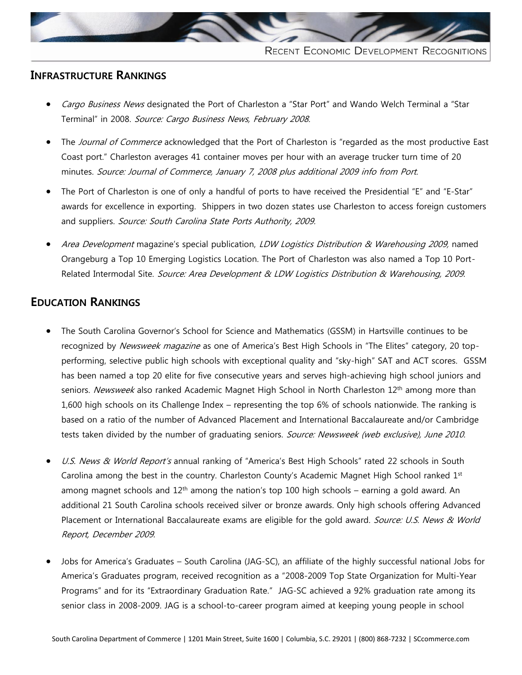

#### **INFRASTRUCTURE RANKINGS**

- Cargo Business News designated the Port of Charleston a "Star Port" and Wando Welch Terminal a "Star Terminal" in 2008. Source: Cargo Business News, February 2008.
- The Journal of Commerce acknowledged that the Port of Charleston is "regarded as the most productive East Coast port." Charleston averages 41 container moves per hour with an average trucker turn time of 20 minutes. Source: Journal of Commerce, January 7, 2008 plus additional 2009 info from Port.
- The Port of Charleston is one of only a handful of ports to have received the Presidential "E" and "E-Star" awards for excellence in exporting. Shippers in two dozen states use Charleston to access foreign customers and suppliers. Source: South Carolina State Ports Authority, 2009.
- Area Development magazine's special publication, LDW Logistics Distribution & Warehousing 2009, named Orangeburg a Top 10 Emerging Logistics Location. The Port of Charleston was also named a Top 10 Port-Related Intermodal Site. Source: Area Development & LDW Logistics Distribution & Warehousing, 2009.

## **EDUCATION RANKINGS**

- The South Carolina Governor's School for Science and Mathematics (GSSM) in Hartsville continues to be recognized by Newsweek magazine as one of America's Best High Schools in "The Elites" category, 20 topperforming, selective public high schools with exceptional quality and "sky-high" SAT and ACT scores. GSSM has been named a top 20 elite for five consecutive years and serves high-achieving high school juniors and seniors. Newsweek also ranked Academic Magnet High School in North Charleston 12<sup>th</sup> among more than 1,600 high schools on its Challenge Index – representing the top 6% of schools nationwide. The ranking is based on a ratio of the number of Advanced Placement and International Baccalaureate and/or Cambridge tests taken divided by the number of graduating seniors. Source: Newsweek (web exclusive), June 2010.
- U.S. News & World Report's annual ranking of "America's Best High Schools" rated 22 schools in South Carolina among the best in the country. Charleston County's Academic Magnet High School ranked  $1<sup>st</sup>$ among magnet schools and  $12<sup>th</sup>$  among the nation's top 100 high schools – earning a gold award. An additional 21 South Carolina schools received silver or bronze awards. Only high schools offering Advanced Placement or International Baccalaureate exams are eligible for the gold award. Source: U.S. News & World Report, December 2009.
- Jobs for America's Graduates South Carolina (JAG-SC), an affiliate of the highly successful national Jobs for America's Graduates program, received recognition as a "2008-2009 Top State Organization for Multi-Year Programs" and for its "Extraordinary Graduation Rate." JAG-SC achieved a 92% graduation rate among its senior class in 2008-2009. JAG is a school-to-career program aimed at keeping young people in school